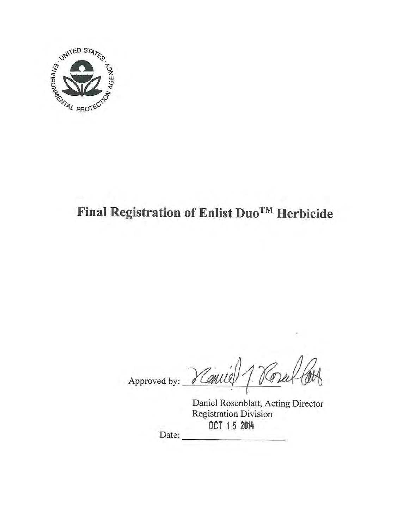

# Final Registration of Enlist Duo™ Herbicide

Approved by: Vanie 1. Vore

Daniel Rosenblatt, Acting Director Registration Division OCT 15 2014 Date: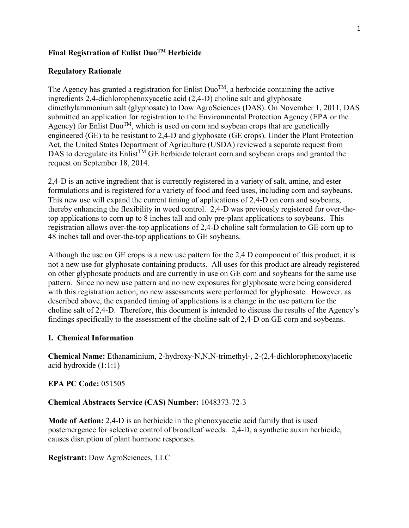### **Final Registration of Enlist DuoTM Herbicide**

### **Regulatory Rationale**

The Agency has granted a registration for Enlist Duo<sup>TM</sup>, a herbicide containing the active dimethylammonium salt (glyphosate) to Dow AgroSciences (DAS). On November 1, 2011, DAS Agency) for Enlist Duo<sup>TM</sup>, which is used on corn and soybean crops that are genetically ingredients 2,4-dichlorophenoxyacetic acid (2,4-D) choline salt and glyphosate submitted an application for registration to the Environmental Protection Agency (EPA or the engineered (GE) to be resistant to 2,4-D and glyphosate (GE crops). Under the Plant Protection Act, the United States Department of Agriculture (USDA) reviewed a separate request from DAS to deregulate its Enlist<sup>TM</sup> GE herbicide tolerant corn and soybean crops and granted the request on September 18, 2014.

 48 inches tall and over-the-top applications to GE soybeans. 2,4-D is an active ingredient that is currently registered in a variety of salt, amine, and ester formulations and is registered for a variety of food and feed uses, including corn and soybeans. This new use will expand the current timing of applications of 2,4-D on corn and soybeans, thereby enhancing the flexibility in weed control. 2,4-D was previously registered for over-thetop applications to corn up to 8 inches tall and only pre-plant applications to soybeans. This registration allows over-the-top applications of 2,4-D choline salt formulation to GE corn up to

 not a new use for glyphosate containing products. All uses for this product are already registered pattern. Since no new use pattern and no new exposures for glyphosate were being considered Although the use on GE crops is a new use pattern for the 2,4 D component of this product, it is on other glyphosate products and are currently in use on GE corn and soybeans for the same use with this registration action, no new assessments were performed for glyphosate. However, as described above, the expanded timing of applications is a change in the use pattern for the choline salt of 2,4-D. Therefore, this document is intended to discuss the results of the Agency's findings specifically to the assessment of the choline salt of 2,4-D on GE corn and soybeans.

### **I. Chemical Information**

**Chemical Name:** Ethanaminium, 2-hydroxy-N,N,N-trimethyl-, 2-(2,4-dichlorophenoxy)acetic acid hydroxide (1:1:1)

### **EPA PC Code:** 051505

### **Chemical Abstracts Service (CAS) Number:** 1048373-72-3

**Mode of Action:** 2,4-D is an herbicide in the phenoxyacetic acid family that is used postemergence for selective control of broadleaf weeds. 2,4-D, a synthetic auxin herbicide, causes disruption of plant hormone responses.

**Registrant:** Dow AgroSciences, LLC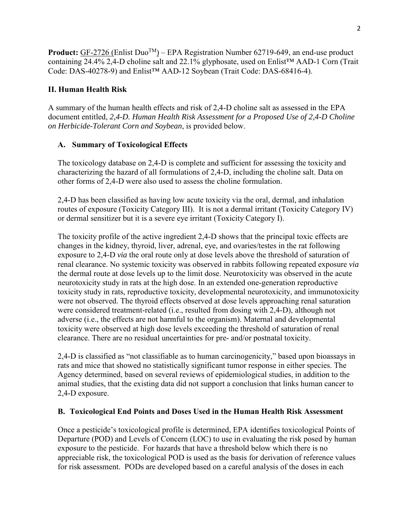**Product:** GF-2726 (Enlist Duo™) – EPA Registration Number 62719-649, an end-use product containing 24.4% 2,4-D choline salt and 22.1% glyphosate, used on Enlist™ AAD-1 Corn (Trait Code: DAS-40278-9) and Enlist™ AAD-12 Soybean (Trait Code: DAS-68416-4).

# **II. Human Health Risk**

A summary of the human health effects and risk of 2,4-D choline salt as assessed in the EPA document entitled, *2,4-D. Human Health Risk Assessment for a Proposed Use of 2,4-D Choline on Herbicide-Tolerant Corn and Soybean*, is provided below.

# **A. Summary of Toxicological Effects**

The toxicology database on 2,4-D is complete and sufficient for assessing the toxicity and characterizing the hazard of all formulations of 2,4-D, including the choline salt. Data on other forms of 2,4-D were also used to assess the choline formulation.

 routes of exposure (Toxicity Category III). It is not a dermal irritant (Toxicity Category IV) or dermal sensitizer but it is a severe eye irritant (Toxicity Category I). 2,4-D has been classified as having low acute toxicity via the oral, dermal, and inhalation

The toxicity profile of the active ingredient 2,4-D shows that the principal toxic effects are changes in the kidney, thyroid, liver, adrenal, eye, and ovaries/testes in the rat following exposure to 2,4-D *via* the oral route only at dose levels above the threshold of saturation of renal clearance. No systemic toxicity was observed in rabbits following repeated exposure *via*  the dermal route at dose levels up to the limit dose. Neurotoxicity was observed in the acute neurotoxicity study in rats at the high dose. In an extended one-generation reproductive toxicity study in rats, reproductive toxicity, developmental neurotoxicity, and immunotoxicity were not observed. The thyroid effects observed at dose levels approaching renal saturation were considered treatment-related (i.e., resulted from dosing with 2,4-D), although not adverse (i.e., the effects are not harmful to the organism). Maternal and developmental toxicity were observed at high dose levels exceeding the threshold of saturation of renal clearance. There are no residual uncertainties for pre- and/or postnatal toxicity.

2,4-D is classified as "not classifiable as to human carcinogenicity," based upon bioassays in rats and mice that showed no statistically significant tumor response in either species. The Agency determined, based on several reviews of epidemiological studies, in addition to the animal studies, that the existing data did not support a conclusion that links human cancer to 2,4-D exposure.

### **B. Toxicological End Points and Doses Used in the Human Health Risk Assessment**

Once a pesticide's toxicological profile is determined, EPA identifies toxicological Points of Departure (POD) and Levels of Concern (LOC) to use in evaluating the risk posed by human exposure to the pesticide. For hazards that have a threshold below which there is no appreciable risk, the toxicological POD is used as the basis for derivation of reference values for risk assessment. PODs are developed based on a careful analysis of the doses in each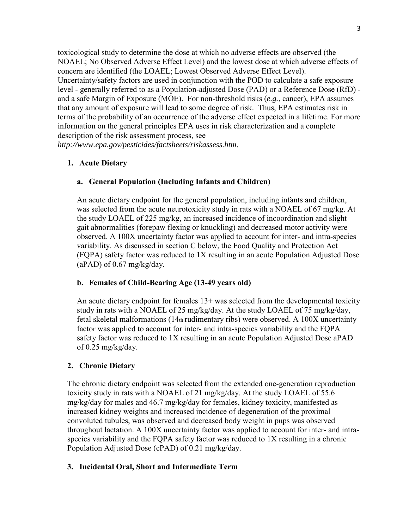level - generally referred to as a Population-adjusted Dose (PAD) or a Reference Dose (RfD) toxicological study to determine the dose at which no adverse effects are observed (the NOAEL; No Observed Adverse Effect Level) and the lowest dose at which adverse effects of concern are identified (the LOAEL; Lowest Observed Adverse Effect Level). Uncertainty/safety factors are used in conjunction with the POD to calculate a safe exposure and a safe Margin of Exposure (MOE). For non-threshold risks (*e.g.*, cancer), EPA assumes that any amount of exposure will lead to some degree of risk. Thus, EPA estimates risk in terms of the probability of an occurrence of the adverse effect expected in a lifetime. For more information on the general principles EPA uses in risk characterization and a complete description of the risk assessment process, see

*http://www.epa.gov/pesticides/factsheets/riskassess.htm*.

### **1. Acute Dietary**

### **a. General Population (Including Infants and Children)**

An acute dietary endpoint for the general population, including infants and children, was selected from the acute neurotoxicity study in rats with a NOAEL of 67 mg/kg. At the study LOAEL of 225 mg/kg, an increased incidence of incoordination and slight gait abnormalities (forepaw flexing or knuckling) and decreased motor activity were observed. A 100X uncertainty factor was applied to account for inter- and intra-species variability. As discussed in section C below, the Food Quality and Protection Act (FQPA) safety factor was reduced to 1X resulting in an acute Population Adjusted Dose  $(aPAD)$  of 0.67 mg/kg/day.

# **b. Females of Child-Bearing Age (13-49 years old)**

An acute dietary endpoint for females 13+ was selected from the developmental toxicity study in rats with a NOAEL of 25 mg/kg/day. At the study LOAEL of 75 mg/kg/day, fetal skeletal malformations (14th rudimentary ribs) were observed. A 100X uncertainty factor was applied to account for inter- and intra-species variability and the FQPA safety factor was reduced to 1X resulting in an acute Population Adjusted Dose aPAD of 0.25 mg/kg/day.

### **2. Chronic Dietary**

The chronic dietary endpoint was selected from the extended one-generation reproduction toxicity study in rats with a NOAEL of 21 mg/kg/day. At the study LOAEL of 55.6 mg/kg/day for males and 46.7 mg/kg/day for females, kidney toxicity, manifested as increased kidney weights and increased incidence of degeneration of the proximal convoluted tubules, was observed and decreased body weight in pups was observed throughout lactation. A 100X uncertainty factor was applied to account for inter- and intraspecies variability and the FQPA safety factor was reduced to 1X resulting in a chronic Population Adjusted Dose (cPAD) of 0.21 mg/kg/day.

### **3. Incidental Oral, Short and Intermediate Term**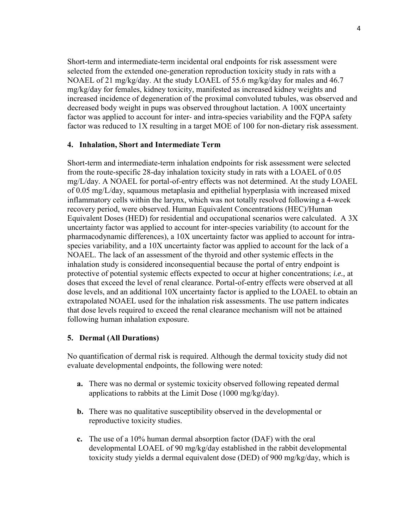mg/kg/day for females, kidney toxicity, manifested as increased kidney weights and decreased body weight in pups was observed throughout lactation. A 100X uncertainty Short-term and intermediate-term incidental oral endpoints for risk assessment were selected from the extended one-generation reproduction toxicity study in rats with a NOAEL of 21 mg/kg/day. At the study LOAEL of 55.6 mg/kg/day for males and 46.7 increased incidence of degeneration of the proximal convoluted tubules, was observed and factor was applied to account for inter- and intra-species variability and the FQPA safety factor was reduced to 1X resulting in a target MOE of 100 for non-dietary risk assessment.

#### **4. Inhalation, Short and Intermediate Term**

 mg/L/day. A NOAEL for portal-of-entry effects was not determined. At the study LOAEL species variability, and a 10X uncertainty factor was applied to account for the lack of a doses that exceed the level of renal clearance. Portal-of-entry effects were observed at all Short-term and intermediate-term inhalation endpoints for risk assessment were selected from the route-specific 28-day inhalation toxicity study in rats with a LOAEL of 0.05 of 0.05 mg/L/day, squamous metaplasia and epithelial hyperplasia with increased mixed inflammatory cells within the larynx, which was not totally resolved following a 4-week recovery period, were observed. Human Equivalent Concentrations (HEC)/Human Equivalent Doses (HED) for residential and occupational scenarios were calculated. A 3X uncertainty factor was applied to account for inter-species variability (to account for the pharmacodynamic differences), a 10X uncertainty factor was applied to account for intra-NOAEL. The lack of an assessment of the thyroid and other systemic effects in the inhalation study is considered inconsequential because the portal of entry endpoint is protective of potential systemic effects expected to occur at higher concentrations; *i.e.,* at dose levels, and an additional 10X uncertainty factor is applied to the LOAEL to obtain an extrapolated NOAEL used for the inhalation risk assessments. The use pattern indicates that dose levels required to exceed the renal clearance mechanism will not be attained following human inhalation exposure.

### **5. Dermal (All Durations)**

 evaluate developmental endpoints, the following were noted: No quantification of dermal risk is required. Although the dermal toxicity study did not

- **a.** There was no dermal or systemic toxicity observed following repeated dermal applications to rabbits at the Limit Dose (1000 mg/kg/day).
- **b.** There was no qualitative susceptibility observed in the developmental or reproductive toxicity studies.
- **c.** The use of a 10% human dermal absorption factor (DAF) with the oral developmental LOAEL of 90 mg/kg/day established in the rabbit developmental toxicity study yields a dermal equivalent dose (DED) of 900 mg/kg/day, which is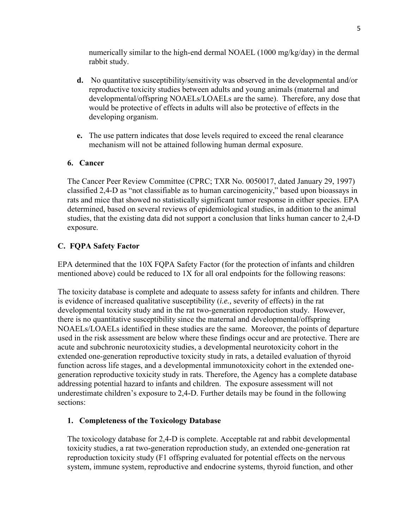numerically similar to the high-end dermal NOAEL (1000 mg/kg/day) in the dermal rabbit study.

- **d.** No quantitative susceptibility/sensitivity was observed in the developmental and/or reproductive toxicity studies between adults and young animals (maternal and developmental/offspring NOAELs/LOAELs are the same). Therefore, any dose that would be protective of effects in adults will also be protective of effects in the developing organism.
- **e.** The use pattern indicates that dose levels required to exceed the renal clearance mechanism will not be attained following human dermal exposure.

### **6. Cancer**

The Cancer Peer Review Committee (CPRC; TXR No. 0050017, dated January 29, 1997) classified 2,4-D as "not classifiable as to human carcinogenicity," based upon bioassays in rats and mice that showed no statistically significant tumor response in either species. EPA determined, based on several reviews of epidemiological studies, in addition to the animal studies, that the existing data did not support a conclusion that links human cancer to 2,4-D exposure.

### **C. FQPA Safety Factor**

EPA determined that the 10X FQPA Safety Factor (for the protection of infants and children mentioned above) could be reduced to 1X for all oral endpoints for the following reasons:

The toxicity database is complete and adequate to assess safety for infants and children. There is evidence of increased qualitative susceptibility (*i.e.,* severity of effects) in the rat developmental toxicity study and in the rat two-generation reproduction study. However, there is no quantitative susceptibility since the maternal and developmental/offspring NOAELs/LOAELs identified in these studies are the same. Moreover, the points of departure used in the risk assessment are below where these findings occur and are protective. There are acute and subchronic neurotoxicity studies, a developmental neurotoxicity cohort in the extended one-generation reproductive toxicity study in rats, a detailed evaluation of thyroid function across life stages, and a developmental immunotoxicity cohort in the extended onegeneration reproductive toxicity study in rats. Therefore, the Agency has a complete database addressing potential hazard to infants and children. The exposure assessment will not underestimate children's exposure to 2,4-D. Further details may be found in the following sections:

### **1. Completeness of the Toxicology Database**

The toxicology database for 2,4-D is complete. Acceptable rat and rabbit developmental toxicity studies, a rat two-generation reproduction study, an extended one-generation rat reproduction toxicity study (F1 offspring evaluated for potential effects on the nervous system, immune system, reproductive and endocrine systems, thyroid function, and other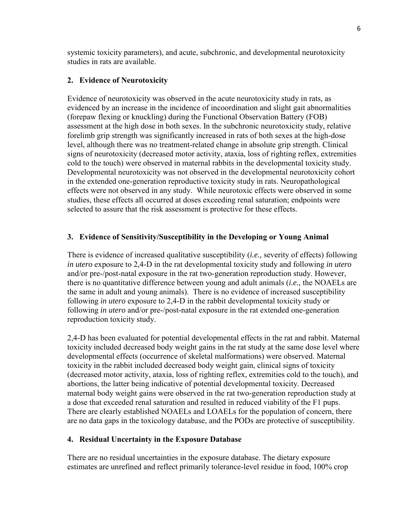systemic toxicity parameters), and acute, subchronic, and developmental neurotoxicity studies in rats are available.

# **2. Evidence of Neurotoxicity**

 (forepaw flexing or knuckling) during the Functional Observation Battery (FOB) effects were not observed in any study. While neurotoxic effects were observed in some Evidence of neurotoxicity was observed in the acute neurotoxicity study in rats, as evidenced by an increase in the incidence of incoordination and slight gait abnormalities assessment at the high dose in both sexes. In the subchronic neurotoxicity study, relative forelimb grip strength was significantly increased in rats of both sexes at the high-dose level, although there was no treatment-related change in absolute grip strength. Clinical signs of neurotoxicity (decreased motor activity, ataxia, loss of righting reflex, extremities cold to the touch) were observed in maternal rabbits in the developmental toxicity study. Developmental neurotoxicity was not observed in the developmental neurotoxicity cohort in the extended one-generation reproductive toxicity study in rats. Neuropathological studies, these effects all occurred at doses exceeding renal saturation; endpoints were selected to assure that the risk assessment is protective for these effects.

# **3. Evidence of Sensitivity/Susceptibility in the Developing or Young Animal**

 the same in adult and young animals). There is no evidence of increased susceptibility There is evidence of increased qualitative susceptibility (*i.e.,* severity of effects) following *in utero* exposure to 2,4-D in the rat developmental toxicity study and following *in utero*  and/or pre-/post-natal exposure in the rat two-generation reproduction study. However, there is no quantitative difference between young and adult animals (*i.e.,* the NOAELs are following *in utero* exposure to 2,4-D in the rabbit developmental toxicity study or following *in utero* and/or pre-/post-natal exposure in the rat extended one-generation reproduction toxicity study.

 There are clearly established NOAELs and LOAELs for the population of concern, there 2,4-D has been evaluated for potential developmental effects in the rat and rabbit. Maternal toxicity included decreased body weight gains in the rat study at the same dose level where developmental effects (occurrence of skeletal malformations) were observed. Maternal toxicity in the rabbit included decreased body weight gain, clinical signs of toxicity (decreased motor activity, ataxia, loss of righting reflex, extremities cold to the touch), and abortions, the latter being indicative of potential developmental toxicity. Decreased maternal body weight gains were observed in the rat two-generation reproduction study at a dose that exceeded renal saturation and resulted in reduced viability of the F1 pups. are no data gaps in the toxicology database, and the PODs are protective of susceptibility.

### **4. Residual Uncertainty in the Exposure Database**

 There are no residual uncertainties in the exposure database. The dietary exposure estimates are unrefined and reflect primarily tolerance-level residue in food, 100% crop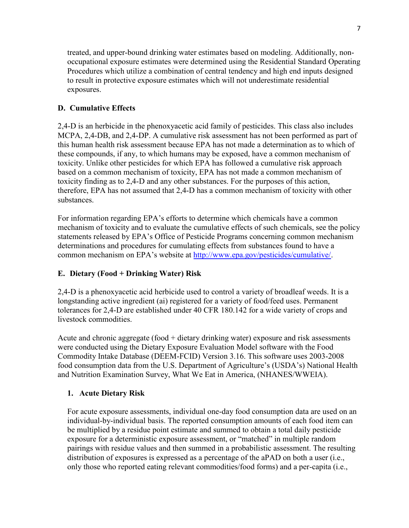treated, and upper-bound drinking water estimates based on modeling. Additionally, nonoccupational exposure estimates were determined using the Residential Standard Operating Procedures which utilize a combination of central tendency and high end inputs designed to result in protective exposure estimates which will not underestimate residential exposures.

# **D. Cumulative Effects**

2,4-D is an herbicide in the phenoxyacetic acid family of pesticides. This class also includes MCPA, 2,4-DB, and 2,4-DP. A cumulative risk assessment has not been performed as part of this human health risk assessment because EPA has not made a determination as to which of these compounds, if any, to which humans may be exposed, have a common mechanism of toxicity. Unlike other pesticides for which EPA has followed a cumulative risk approach based on a common mechanism of toxicity, EPA has not made a common mechanism of toxicity finding as to 2,4-D and any other substances. For the purposes of this action, therefore, EPA has not assumed that 2,4-D has a common mechanism of toxicity with other substances.

 determinations and procedures for cumulating effects from substances found to have a For information regarding EPA's efforts to determine which chemicals have a common mechanism of toxicity and to evaluate the cumulative effects of such chemicals, see the policy statements released by EPA's Office of Pesticide Programs concerning common mechanism common mechanism on EPA's website at http://www.epa.gov/pesticides/cumulative/.

# **E. Dietary (Food + Drinking Water) Risk**

2,4-D is a phenoxyacetic acid herbicide used to control a variety of broadleaf weeds. It is a longstanding active ingredient (ai) registered for a variety of food/feed uses. Permanent tolerances for 2,4-D are established under 40 CFR 180.142 for a wide variety of crops and livestock commodities.

Acute and chronic aggregate (food + dietary drinking water) exposure and risk assessments were conducted using the Dietary Exposure Evaluation Model software with the Food Commodity Intake Database (DEEM-FCID) Version 3.16. This software uses 2003-2008 food consumption data from the U.S. Department of Agriculture's (USDA's) National Health and Nutrition Examination Survey, What We Eat in America, (NHANES/WWEIA).

### **1. Acute Dietary Risk**

For acute exposure assessments, individual one-day food consumption data are used on an individual-by-individual basis. The reported consumption amounts of each food item can be multiplied by a residue point estimate and summed to obtain a total daily pesticide exposure for a deterministic exposure assessment, or "matched" in multiple random pairings with residue values and then summed in a probabilistic assessment. The resulting distribution of exposures is expressed as a percentage of the aPAD on both a user (i.e., only those who reported eating relevant commodities/food forms) and a per-capita (i.e.,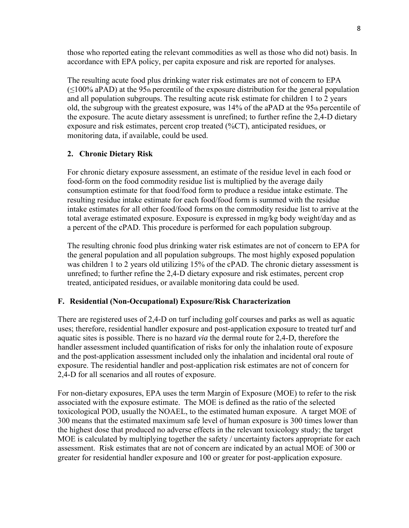those who reported eating the relevant commodities as well as those who did not) basis. In accordance with EPA policy, per capita exposure and risk are reported for analyses.

old, the subgroup with the greatest exposure, was 14% of the aPAD at the 95th percentile of The resulting acute food plus drinking water risk estimates are not of concern to EPA  $(\leq 100\%$  aPAD) at the 95th percentile of the exposure distribution for the general population and all population subgroups. The resulting acute risk estimate for children 1 to 2 years the exposure. The acute dietary assessment is unrefined; to further refine the 2,4-D dietary exposure and risk estimates, percent crop treated (%CT), anticipated residues, or monitoring data, if available, could be used.

# **2. Chronic Dietary Risk**

For chronic dietary exposure assessment, an estimate of the residue level in each food or food-form on the food commodity residue list is multiplied by the average daily consumption estimate for that food/food form to produce a residue intake estimate. The resulting residue intake estimate for each food/food form is summed with the residue intake estimates for all other food/food forms on the commodity residue list to arrive at the total average estimated exposure. Exposure is expressed in mg/kg body weight/day and as a percent of the cPAD. This procedure is performed for each population subgroup.

 The resulting chronic food plus drinking water risk estimates are not of concern to EPA for the general population and all population subgroups. The most highly exposed population was children 1 to 2 years old utilizing 15% of the cPAD. The chronic dietary assessment is unrefined; to further refine the 2,4-D dietary exposure and risk estimates, percent crop treated, anticipated residues, or available monitoring data could be used.

### **F. Residential (Non-Occupational) Exposure/Risk Characterization**

 There are registered uses of 2,4-D on turf including golf courses and parks as well as aquatic uses; therefore, residential handler exposure and post-application exposure to treated turf and aquatic sites is possible. There is no hazard *via* the dermal route for 2,4-D, therefore the handler assessment included quantification of risks for only the inhalation route of exposure and the post-application assessment included only the inhalation and incidental oral route of exposure. The residential handler and post-application risk estimates are not of concern for 2,4-D for all scenarios and all routes of exposure.

 For non-dietary exposures, EPA uses the term Margin of Exposure (MOE) to refer to the risk associated with the exposure estimate. The MOE is defined as the ratio of the selected toxicological POD, usually the NOAEL, to the estimated human exposure. A target MOE of 300 means that the estimated maximum safe level of human exposure is 300 times lower than the highest dose that produced no adverse effects in the relevant toxicology study; the target MOE is calculated by multiplying together the safety / uncertainty factors appropriate for each assessment. Risk estimates that are not of concern are indicated by an actual MOE of 300 or greater for residential handler exposure and 100 or greater for post-application exposure.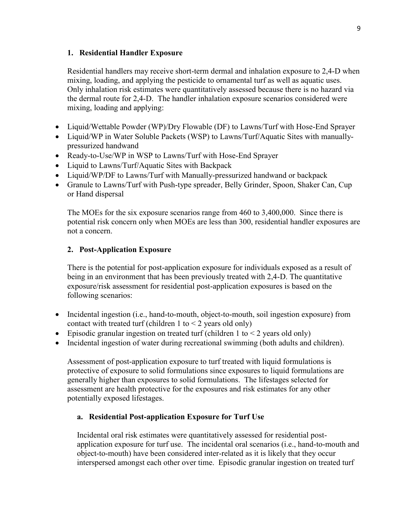### **1. Residential Handler Exposure**

Residential handlers may receive short-term dermal and inhalation exposure to 2,4-D when mixing, loading, and applying the pesticide to ornamental turf as well as aquatic uses. Only inhalation risk estimates were quantitatively assessed because there is no hazard via the dermal route for 2,4-D. The handler inhalation exposure scenarios considered were mixing, loading and applying:

- Liquid/Wettable Powder (WP)/Dry Flowable (DF) to Lawns/Turf with Hose-End Sprayer
- Liquid/WP in Water Soluble Packets (WSP) to Lawns/Turf/Aquatic Sites with manuallypressurized handwand
- Ready-to-Use/WP in WSP to Lawns/Turf with Hose-End Sprayer
- Liquid to Lawns/Turf/Aquatic Sites with Backpack
- Liquid/WP/DF to Lawns/Turf with Manually-pressurized handwand or backpack
- Granule to Lawns/Turf with Push-type spreader, Belly Grinder, Spoon, Shaker Can, Cup or Hand dispersal

 potential risk concern only when MOEs are less than 300, residential handler exposures are The MOEs for the six exposure scenarios range from 460 to 3,400,000. Since there is not a concern.

### **2. Post-Application Exposure**

There is the potential for post-application exposure for individuals exposed as a result of being in an environment that has been previously treated with 2,4-D. The quantitative exposure/risk assessment for residential post-application exposures is based on the following scenarios:

- Incidental ingestion (i.e., hand-to-mouth, object-to-mouth, soil ingestion exposure) from contact with treated turf (children 1 to  $\leq$  2 years old only)
- Episodic granular ingestion on treated turf (children 1 to  $\leq$  2 years old only)
- Incidental ingestion of water during recreational swimming (both adults and children).

 assessment are health protective for the exposures and risk estimates for any other Assessment of post-application exposure to turf treated with liquid formulations is protective of exposure to solid formulations since exposures to liquid formulations are generally higher than exposures to solid formulations. The lifestages selected for potentially exposed lifestages.

### **a. Residential Post-application Exposure for Turf Use**

Incidental oral risk estimates were quantitatively assessed for residential postapplication exposure for turf use. The incidental oral scenarios (i.e., hand-to-mouth and object-to-mouth) have been considered inter-related as it is likely that they occur interspersed amongst each other over time. Episodic granular ingestion on treated turf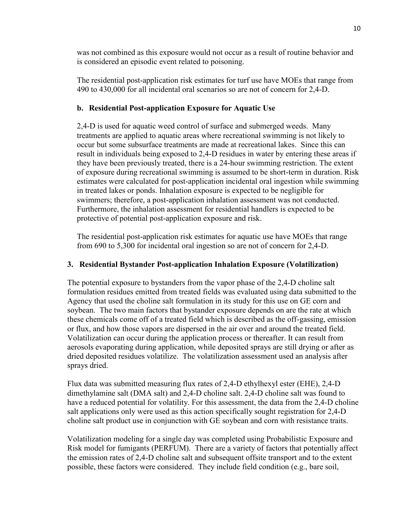was not combined as this exposure would not occur as a result of routine behavior and is considered an episodic event related to poisoning.

The residential post-application risk estimates for turf use have MOEs that range from 490 to 430,000 for all incidental oral scenarios so are not of concern for 2,4-D.

# **b. Residential Post-application Exposure for Aquatic Use**

2,4-D is used for aquatic weed control of surface and submerged weeds. Many treatments are applied to aquatic areas where recreational swimming is not likely to occur but some subsurface treatments are made at recreational lakes. Since this can result in individuals being exposed to 2,4-D residues in water by entering these areas if they have been previously treated, there is a 24-hour swimming restriction. The extent of exposure during recreational swimming is assumed to be short-term in duration. Risk estimates were calculated for post-application incidental oral ingestion while swimming in treated lakes or ponds. Inhalation exposure is expected to be negligible for swimmers; therefore, a post-application inhalation assessment was not conducted. Furthermore, the inhalation assessment for residential handlers is expected to be protective of potential post-application exposure and risk.

The residential post-application risk estimates for aquatic use have MOEs that range from 690 to 5,300 for incidental oral ingestion so are not of concern for 2,4-D.

# **3. Residential Bystander Post-application Inhalation Exposure (Volatilization)**

 The potential exposure to bystanders from the vapor phase of the 2,4-D choline salt formulation residues emitted from treated fields was evaluated using data submitted to the Agency that used the choline salt formulation in its study for this use on GE corn and soybean. The two main factors that bystander exposure depends on are the rate at which these chemicals come off of a treated field which is described as the off-gassing, emission or flux, and how those vapors are dispersed in the air over and around the treated field. Volatilization can occur during the application process or thereafter. It can result from aerosols evaporating during application, while deposited sprays are still drying or after as dried deposited residues volatilize. The volatilization assessment used an analysis after sprays dried.

 dimethylamine salt (DMA salt) and 2,4-D choline salt. 2,4-D choline salt was found to choline salt product use in conjunction with GE soybean and corn with resistance traits. Flux data was submitted measuring flux rates of 2,4-D ethylhexyl ester (EHE), 2,4-D have a reduced potential for volatility. For this assessment, the data from the 2,4-D choline salt applications only were used as this action specifically sought registration for 2,4-D

Volatilization modeling for a single day was completed using Probabilistic Exposure and Risk model for fumigants (PERFUM). There are a variety of factors that potentially affect the emission rates of 2,4-D choline salt and subsequent offsite transport and to the extent possible, these factors were considered. They include field condition (e.g., bare soil,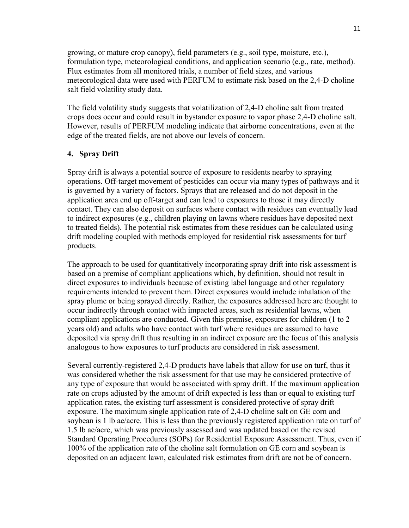growing, or mature crop canopy), field parameters (e.g., soil type, moisture, etc.), salt field volatility study data. formulation type, meteorological conditions, and application scenario (e.g., rate, method). Flux estimates from all monitored trials, a number of field sizes, and various meteorological data were used with PERFUM to estimate risk based on the 2,4-D choline

The field volatility study suggests that volatilization of 2,4-D choline salt from treated crops does occur and could result in bystander exposure to vapor phase 2,4-D choline salt. However, results of PERFUM modeling indicate that airborne concentrations, even at the edge of the treated fields, are not above our levels of concern.

### **4. Spray Drift**

Spray drift is always a potential source of exposure to residents nearby to spraying operations. Off-target movement of pesticides can occur via many types of pathways and it is governed by a variety of factors. Sprays that are released and do not deposit in the application area end up off-target and can lead to exposures to those it may directly contact. They can also deposit on surfaces where contact with residues can eventually lead to indirect exposures (e.g., children playing on lawns where residues have deposited next to treated fields). The potential risk estimates from these residues can be calculated using drift modeling coupled with methods employed for residential risk assessments for turf products.

 years old) and adults who have contact with turf where residues are assumed to have The approach to be used for quantitatively incorporating spray drift into risk assessment is based on a premise of compliant applications which, by definition, should not result in direct exposures to individuals because of existing label language and other regulatory requirements intended to prevent them. Direct exposures would include inhalation of the spray plume or being sprayed directly. Rather, the exposures addressed here are thought to occur indirectly through contact with impacted areas, such as residential lawns, when compliant applications are conducted. Given this premise, exposures for children (1 to 2 deposited via spray drift thus resulting in an indirect exposure are the focus of this analysis analogous to how exposures to turf products are considered in risk assessment.

 exposure. The maximum single application rate of 2,4-D choline salt on GE corn and 1.5 lb ae/acre, which was previously assessed and was updated based on the revised Several currently-registered 2,4-D products have labels that allow for use on turf, thus it was considered whether the risk assessment for that use may be considered protective of any type of exposure that would be associated with spray drift. If the maximum application rate on crops adjusted by the amount of drift expected is less than or equal to existing turf application rates, the existing turf assessment is considered protective of spray drift soybean is 1 lb ae/acre. This is less than the previously registered application rate on turf of Standard Operating Procedures (SOPs) for Residential Exposure Assessment. Thus, even if 100% of the application rate of the choline salt formulation on GE corn and soybean is deposited on an adjacent lawn, calculated risk estimates from drift are not be of concern.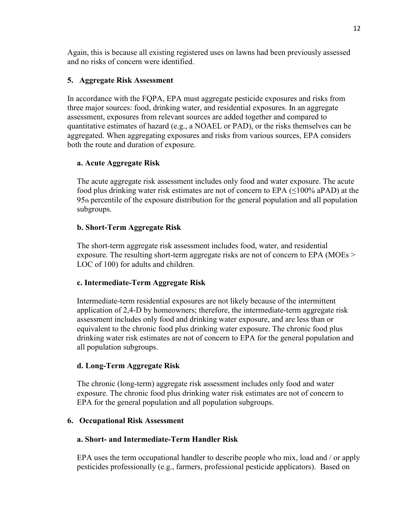Again, this is because all existing registered uses on lawns had been previously assessed and no risks of concern were identified.

# **5. Aggregate Risk Assessment**

In accordance with the FQPA, EPA must aggregate pesticide exposures and risks from three major sources: food, drinking water, and residential exposures. In an aggregate assessment, exposures from relevant sources are added together and compared to quantitative estimates of hazard (e.g., a NOAEL or PAD), or the risks themselves can be aggregated. When aggregating exposures and risks from various sources, EPA considers both the route and duration of exposure.

### **a. Acute Aggregate Risk**

The acute aggregate risk assessment includes only food and water exposure. The acute food plus drinking water risk estimates are not of concern to EPA  $(\leq 100\%$  aPAD) at the 95th percentile of the exposure distribution for the general population and all population subgroups.

### **b. Short-Term Aggregate Risk**

The short-term aggregate risk assessment includes food, water, and residential exposure. The resulting short-term aggregate risks are not of concern to EPA (MOEs > LOC of 100) for adults and children.

### **c. Intermediate-Term Aggregate Risk**

 equivalent to the chronic food plus drinking water exposure. The chronic food plus Intermediate-term residential exposures are not likely because of the intermittent application of 2,4-D by homeowners; therefore, the intermediate-term aggregate risk assessment includes only food and drinking water exposure, and are less than or drinking water risk estimates are not of concern to EPA for the general population and all population subgroups.

### **d. Long-Term Aggregate Risk**

 The chronic (long-term) aggregate risk assessment includes only food and water exposure. The chronic food plus drinking water risk estimates are not of concern to EPA for the general population and all population subgroups.

### **6. Occupational Risk Assessment**

### **a. Short- and Intermediate-Term Handler Risk**

EPA uses the term occupational handler to describe people who mix, load and / or apply pesticides professionally (e.g., farmers, professional pesticide applicators). Based on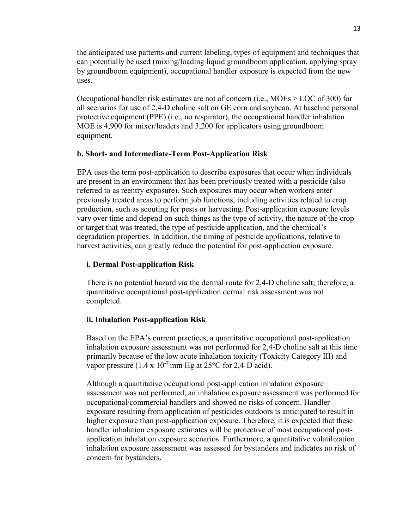by groundboom equipment), occupational handler exposure is expected from the new the anticipated use patterns and current labeling, types of equipment and techniques that can potentially be used (mixing/loading liquid groundboom application, applying spray uses.

 all scenarios for use of 2,4-D choline salt on GE corn and soybean. At baseline personal Occupational handler risk estimates are not of concern (i.e., MOEs > LOC of 300) for protective equipment (PPE) (i.e., no respirator), the occupational handler inhalation MOE is 4,900 for mixer/loaders and 3,200 for applicators using groundboom equipment.

### **b. Short- and Intermediate-Term Post-Application Risk**

EPA uses the term post-application to describe exposures that occur when individuals are present in an environment that has been previously treated with a pesticide (also referred to as reentry exposure). Such exposures may occur when workers enter previously treated areas to perform job functions, including activities related to crop production, such as scouting for pests or harvesting. Post-application exposure levels vary over time and depend on such things as the type of activity, the nature of the crop or target that was treated, the type of pesticide application, and the chemical's degradation properties. In addition, the timing of pesticide applications, relative to harvest activities, can greatly reduce the potential for post-application exposure.

### **i. Dermal Post-application Risk**

There is no potential hazard *via* the dermal route for 2,4-D choline salt; therefore, a quantitative occupational post-application dermal risk assessment was not completed.

### **ii. Inhalation Post-application Risk**

 inhalation exposure assessment was not performed for 2,4-D choline salt at this time Based on the EPA's current practices, a quantitative occupational post-application primarily because of the low acute inhalation toxicity (Toxicity Category III) and vapor pressure  $(1.4 \times 10^{-7} \text{ mm Hg at } 25^{\circ} \text{C}$  for 2,4-D acid).

Although a quantitative occupational post-application inhalation exposure assessment was not performed, an inhalation exposure assessment was performed for occupational/commercial handlers and showed no risks of concern. Handler exposure resulting from application of pesticides outdoors is anticipated to result in higher exposure than post-application exposure. Therefore, it is expected that these handler inhalation exposure estimates will be protective of most occupational postapplication inhalation exposure scenarios. Furthermore, a quantitative volatilization inhalation exposure assessment was assessed for bystanders and indicates no risk of concern for bystanders.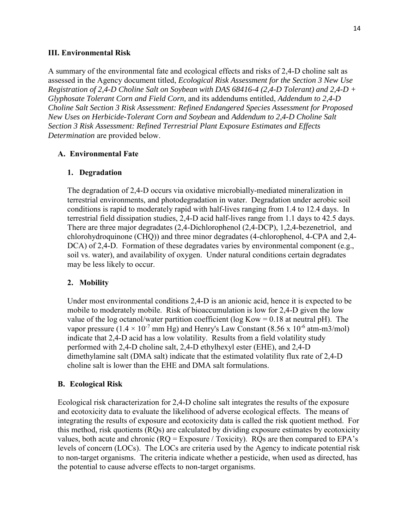#### **III. Environmental Risk**

 *Determination* are provided below. A summary of the environmental fate and ecological effects and risks of 2,4-D choline salt as assessed in the Agency document titled, *Ecological Risk Assessment for the Section 3 New Use Registration of 2,4-D Choline Salt on Soybean with DAS 68416-4 (2,4-D Tolerant) and 2,4-D + Glyphosate Tolerant Corn and Field Corn,* and its addendums entitled, *Addendum to 2,4-D Choline Salt Section 3 Risk Assessment: Refined Endangered Species Assessment for Proposed New Uses on Herbicide-Tolerant Corn and Soybean* and *Addendum to 2,4-D Choline Salt Section 3 Risk Assessment: Refined Terrestrial Plant Exposure Estimates and Effects* 

#### **A. Environmental Fate**

#### **1. Degradation**

 conditions is rapid to moderately rapid with half-lives ranging from 1.4 to 12.4 days. In The degradation of 2,4-D occurs via oxidative microbially-mediated mineralization in terrestrial environments, and photodegradation in water. Degradation under aerobic soil terrestrial field dissipation studies, 2,4-D acid half-lives range from 1.1 days to 42.5 days. There are three major degradates (2,4-Dichlorophenol (2,4-DCP), 1,2,4-bezenetriol, and chlorohydroquinone (CHQ)) and three minor degradates (4-chlorophenol, 4-CPA and 2,4- DCA) of 2,4-D. Formation of these degradates varies by environmental component (e.g., soil vs. water), and availability of oxygen. Under natural conditions certain degradates may be less likely to occur.

#### **2. Mobility**

vapor pressure ( $1.4 \times 10^{-7}$  mm Hg) and Henry's Law Constant (8.56 x 10<sup>-6</sup> atm-m3/mol) Under most environmental conditions 2,4-D is an anionic acid, hence it is expected to be mobile to moderately mobile. Risk of bioaccumulation is low for 2,4-D given the low value of the log octanol/water partition coefficient (log Kow =  $0.18$  at neutral pH). The indicate that 2,4-D acid has a low volatility. Results from a field volatility study performed with 2,4-D choline salt, 2,4-D ethylhexyl ester (EHE), and 2,4-D dimethylamine salt (DMA salt) indicate that the estimated volatility flux rate of 2,4-D choline salt is lower than the EHE and DMA salt formulations.

#### **B. Ecological Risk**

 Ecological risk characterization for 2,4-D choline salt integrates the results of the exposure this method, risk quotients (RQs) are calculated by dividing exposure estimates by ecotoxicity levels of concern (LOCs). The LOCs are criteria used by the Agency to indicate potential risk and ecotoxicity data to evaluate the likelihood of adverse ecological effects. The means of integrating the results of exposure and ecotoxicity data is called the risk quotient method. For values, both acute and chronic  $(RQ = Exposure / Toxicity)$ . RQs are then compared to EPA's to non-target organisms. The criteria indicate whether a pesticide, when used as directed, has the potential to cause adverse effects to non-target organisms.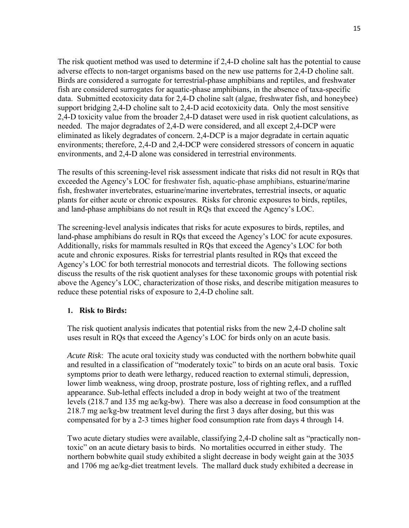The risk quotient method was used to determine if 2,4-D choline salt has the potential to cause adverse effects to non-target organisms based on the new use patterns for 2,4-D choline salt. Birds are considered a surrogate for terrestrial-phase amphibians and reptiles, and freshwater fish are considered surrogates for aquatic-phase amphibians, in the absence of taxa-specific data. Submitted ecotoxicity data for 2,4-D choline salt (algae, freshwater fish, and honeybee) support bridging 2,4-D choline salt to 2,4-D acid ecotoxicity data. Only the most sensitive 2,4-D toxicity value from the broader 2,4-D dataset were used in risk quotient calculations, as needed. The major degradates of 2,4-D were considered, and all except 2,4-DCP were eliminated as likely degradates of concern. 2,4-DCP is a major degradate in certain aquatic environments; therefore, 2,4-D and 2,4-DCP were considered stressors of concern in aquatic environments, and 2,4-D alone was considered in terrestrial environments.

The results of this screening-level risk assessment indicate that risks did not result in RQs that exceeded the Agency's LOC for freshwater fish, aquatic-phase amphibians, estuarine/marine fish, freshwater invertebrates, estuarine/marine invertebrates, terrestrial insects, or aquatic plants for either acute or chronic exposures. Risks for chronic exposures to birds, reptiles, and land-phase amphibians do not result in RQs that exceed the Agency's LOC.

The screening-level analysis indicates that risks for acute exposures to birds, reptiles, and land-phase amphibians do result in RQs that exceed the Agency's LOC for acute exposures. Additionally, risks for mammals resulted in RQs that exceed the Agency's LOC for both acute and chronic exposures. Risks for terrestrial plants resulted in RQs that exceed the Agency's LOC for both terrestrial monocots and terrestrial dicots. The following sections discuss the results of the risk quotient analyses for these taxonomic groups with potential risk above the Agency's LOC, characterization of those risks, and describe mitigation measures to reduce these potential risks of exposure to 2,4-D choline salt.

### **1. Risk to Birds:**

The risk quotient analysis indicates that potential risks from the new 2,4-D choline salt uses result in RQs that exceed the Agency's LOC for birds only on an acute basis.

*Acute Risk*: The acute oral toxicity study was conducted with the northern bobwhite quail and resulted in a classification of "moderately toxic" to birds on an acute oral basis. Toxic symptoms prior to death were lethargy, reduced reaction to external stimuli, depression, lower limb weakness, wing droop, prostrate posture, loss of righting reflex, and a ruffled appearance. Sub-lethal effects included a drop in body weight at two of the treatment levels (218.7 and 135 mg ae/kg-bw). There was also a decrease in food consumption at the 218.7 mg ae/kg-bw treatment level during the first 3 days after dosing, but this was compensated for by a 2-3 times higher food consumption rate from days 4 through 14.

 toxic" on an acute dietary basis to birds. No mortalities occurred in either study. The Two acute dietary studies were available, classifying 2,4-D choline salt as "practically nonnorthern bobwhite quail study exhibited a slight decrease in body weight gain at the 3035 and 1706 mg ae/kg-diet treatment levels. The mallard duck study exhibited a decrease in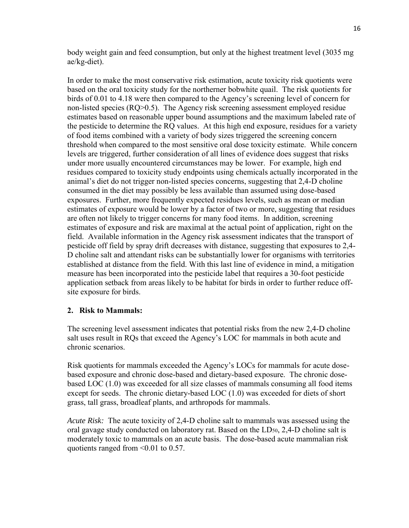body weight gain and feed consumption, but only at the highest treatment level (3035 mg ae/kg-diet).

 birds of 0.01 to 4.18 were then compared to the Agency's screening level of concern for non-listed species (RQ>0.5). The Agency risk screening assessment employed residue the pesticide to determine the RQ values. At this high end exposure, residues for a variety threshold when compared to the most sensitive oral dose toxicity estimate. While concern under more usually encountered circumstances may be lower. For example, high end exposures. Further, more frequently expected residues levels, such as mean or median are often not likely to trigger concerns for many food items. In addition, screening field. Available information in the Agency risk assessment indicates that the transport of D choline salt and attendant risks can be substantially lower for organisms with territories application setback from areas likely to be habitat for birds in order to further reduce off-In order to make the most conservative risk estimation, acute toxicity risk quotients were based on the oral toxicity study for the northerner bobwhite quail. The risk quotients for estimates based on reasonable upper bound assumptions and the maximum labeled rate of of food items combined with a variety of body sizes triggered the screening concern levels are triggered, further consideration of all lines of evidence does suggest that risks residues compared to toxicity study endpoints using chemicals actually incorporated in the animal's diet do not trigger non-listed species concerns, suggesting that 2,4-D choline consumed in the diet may possibly be less available than assumed using dose-based estimates of exposure would be lower by a factor of two or more, suggesting that residues estimates of exposure and risk are maximal at the actual point of application, right on the pesticide off field by spray drift decreases with distance, suggesting that exposures to 2,4 established at distance from the field. With this last line of evidence in mind, a mitigation measure has been incorporated into the pesticide label that requires a 30-foot pesticide site exposure for birds.

### **2. Risk to Mammals:**

The screening level assessment indicates that potential risks from the new 2,4-D choline salt uses result in RQs that exceed the Agency's LOC for mammals in both acute and chronic scenarios.

Risk quotients for mammals exceeded the Agency's LOCs for mammals for acute dosebased exposure and chronic dose-based and dietary-based exposure. The chronic dosebased LOC (1.0) was exceeded for all size classes of mammals consuming all food items except for seeds. The chronic dietary-based LOC (1.0) was exceeded for diets of short grass, tall grass, broadleaf plants, and arthropods for mammals.

 *Acute Risk:* The acute toxicity of 2,4-D choline salt to mammals was assessed using the oral gavage study conducted on laboratory rat. Based on the LD50, 2,4-D choline salt is moderately toxic to mammals on an acute basis. The dose-based acute mammalian risk quotients ranged from <0.01 to 0.57.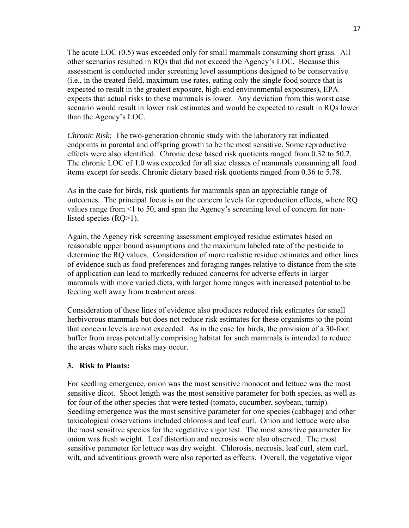The acute LOC (0.5) was exceeded only for small mammals consuming short grass. All other scenarios resulted in RQs that did not exceed the Agency's LOC. Because this assessment is conducted under screening level assumptions designed to be conservative (i.e., in the treated field, maximum use rates, eating only the single food source that is expected to result in the greatest exposure, high-end environmental exposures), EPA expects that actual risks to these mammals is lower. Any deviation from this worst case scenario would result in lower risk estimates and would be expected to result in RQs lower than the Agency's LOC.

 *Chronic Risk:* The two-generation chronic study with the laboratory rat indicated endpoints in parental and offspring growth to be the most sensitive. Some reproductive items except for seeds. Chronic dietary based risk quotients ranged from 0.36 to 5.78. effects were also identified. Chronic dose based risk quotients ranged from 0.32 to 50.2. The chronic LOC of 1.0 was exceeded for all size classes of mammals consuming all food

 outcomes. The principal focus is on the concern levels for reproduction effects, where RQ As in the case for birds, risk quotients for mammals span an appreciable range of values range from <1 to 50, and span the Agency's screening level of concern for nonlisted species (RQ>1).

 determine the RQ values. Consideration of more realistic residue estimates and other lines Again, the Agency risk screening assessment employed residue estimates based on reasonable upper bound assumptions and the maximum labeled rate of the pesticide to of evidence such as food preferences and foraging ranges relative to distance from the site of application can lead to markedly reduced concerns for adverse effects in larger mammals with more varied diets, with larger home ranges with increased potential to be feeding well away from treatment areas.

 herbivorous mammals but does not reduce risk estimates for these organisms to the point that concern levels are not exceeded. As in the case for birds, the provision of a 30-foot Consideration of these lines of evidence also produces reduced risk estimates for small buffer from areas potentially comprising habitat for such mammals is intended to reduce the areas where such risks may occur.

### **3. Risk to Plants:**

For seedling emergence, onion was the most sensitive monocot and lettuce was the most sensitive dicot. Shoot length was the most sensitive parameter for both species, as well as for four of the other species that were tested (tomato, cucumber, soybean, turnip). Seedling emergence was the most sensitive parameter for one species (cabbage) and other toxicological observations included chlorosis and leaf curl. Onion and lettuce were also the most sensitive species for the vegetative vigor test. The most sensitive parameter for onion was fresh weight. Leaf distortion and necrosis were also observed. The most sensitive parameter for lettuce was dry weight. Chlorosis, necrosis, leaf curl, stem curl, wilt, and adventitious growth were also reported as effects. Overall, the vegetative vigor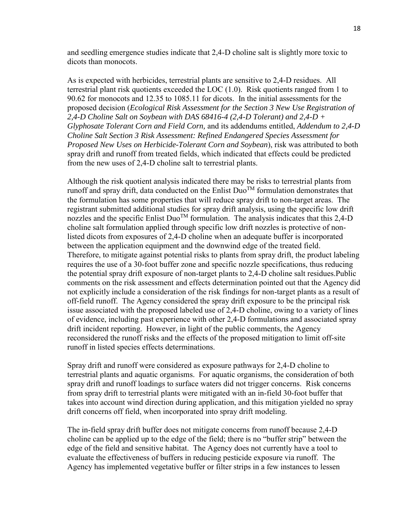and seedling emergence studies indicate that 2,4-D choline salt is slightly more toxic to dicots than monocots.

 90.62 for monocots and 12.35 to 1085.11 for dicots. In the initial assessments for the As is expected with herbicides, terrestrial plants are sensitive to 2,4-D residues. All terrestrial plant risk quotients exceeded the LOC (1.0). Risk quotients ranged from 1 to proposed decision (*Ecological Risk Assessment for the Section 3 New Use Registration of 2,4-D Choline Salt on Soybean with DAS 68416-4 (2,4-D Tolerant) and 2,4-D + Glyphosate Tolerant Corn and Field Corn,* and its addendums entitled, *Addendum to 2,4-D Choline Salt Section 3 Risk Assessment: Refined Endangered Species Assessment for Proposed New Uses on Herbicide-Tolerant Corn and Soybean*), risk was attributed to both spray drift and runoff from treated fields, which indicated that effects could be predicted from the new uses of 2,4-D choline salt to terrestrial plants.

runoff and spray drift, data conducted on the Enlist Duo<sup>TM</sup> formulation demonstrates that drift incident reporting. However, in light of the public comments, the Agency reconsidered the runoff risks and the effects of the proposed mitigation to limit off-site runoff in listed species effects determinations. Although the risk quotient analysis indicated there may be risks to terrestrial plants from the formulation has some properties that will reduce spray drift to non-target areas. The registrant submitted additional studies for spray drift analysis, using the specific low drift nozzles and the specific Enlist Duo<sup>TM</sup> formulation. The analysis indicates that this 2,4-D choline salt formulation applied through specific low drift nozzles is protective of nonlisted dicots from exposures of 2,4-D choline when an adequate buffer is incorporated between the application equipment and the downwind edge of the treated field. Therefore, to mitigate against potential risks to plants from spray drift, the product labeling requires the use of a 30-foot buffer zone and specific nozzle specifications, thus reducing the potential spray drift exposure of non-target plants to 2,4-D choline salt residues.Public comments on the risk assessment and effects determination pointed out that the Agency did not explicitly include a consideration of the risk findings for non-target plants as a result of off-field runoff. The Agency considered the spray drift exposure to be the principal risk issue associated with the proposed labeled use of 2,4-D choline, owing to a variety of lines of evidence, including past experience with other 2,4-D formulations and associated spray

 terrestrial plants and aquatic organisms. For aquatic organisms, the consideration of both spray drift and runoff loadings to surface waters did not trigger concerns. Risk concerns drift concerns off field, when incorporated into spray drift modeling. Spray drift and runoff were considered as exposure pathways for 2,4-D choline to from spray drift to terrestrial plants were mitigated with an in-field 30-foot buffer that takes into account wind direction during application, and this mitigation yielded no spray

 edge of the field and sensitive habitat. The Agency does not currently have a tool to evaluate the effectiveness of buffers in reducing pesticide exposure via runoff. The The in-field spray drift buffer does not mitigate concerns from runoff because 2,4-D choline can be applied up to the edge of the field; there is no "buffer strip" between the Agency has implemented vegetative buffer or filter strips in a few instances to lessen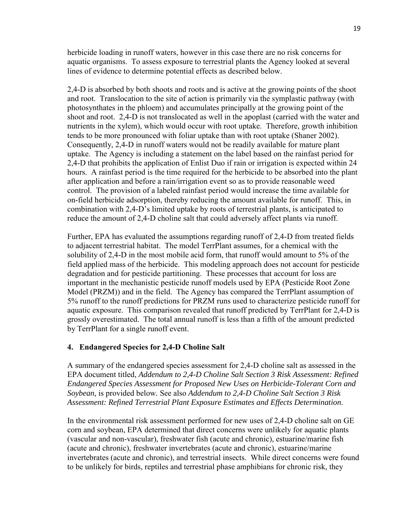aquatic organisms. To assess exposure to terrestrial plants the Agency looked at several herbicide loading in runoff waters, however in this case there are no risk concerns for lines of evidence to determine potential effects as described below.

 and root. Translocation to the site of action is primarily via the symplastic pathway (with photosynthates in the phloem) and accumulates principally at the growing point of the shoot and root. 2,4-D is not translocated as well in the apoplast (carried with the water and nutrients in the xylem), which would occur with root uptake. Therefore, growth inhibition tends to be more pronounced with foliar uptake than with root uptake (Shaner 2002). uptake. The Agency is including a statement on the label based on the rainfast period for hours. A rainfast period is the time required for the herbicide to be absorbed into the plant control. The provision of a labeled rainfast period would increase the time available for on-field herbicide adsorption, thereby reducing the amount available for runoff. This, in 2,4-D is absorbed by both shoots and roots and is active at the growing points of the shoot Consequently, 2,4-D in runoff waters would not be readily available for mature plant 2,4-D that prohibits the application of Enlist Duo if rain or irrigation is expected within 24 after application and before a rain/irrigation event so as to provide reasonable weed combination with 2,4-D's limited uptake by roots of terrestrial plants, is anticipated to reduce the amount of 2,4-D choline salt that could adversely affect plants via runoff.

 field applied mass of the herbicide. This modeling approach does not account for pesticide degradation and for pesticide partitioning. These processes that account for loss are important in the mechanistic pesticide runoff models used by EPA (Pesticide Root Zone Model (PRZM)) and in the field. The Agency has compared the TerrPlant assumption of aquatic exposure. This comparison revealed that runoff predicted by TerrPlant for 2,4-D is grossly overestimated. The total annual runoff is less than a fifth of the amount predicted by TerrPlant for a single runoff event. Further, EPA has evaluated the assumptions regarding runoff of 2,4-D from treated fields to adjacent terrestrial habitat. The model TerrPlant assumes, for a chemical with the solubility of 2,4-D in the most mobile acid form, that runoff would amount to 5% of the 5% runoff to the runoff predictions for PRZM runs used to characterize pesticide runoff for

### **4. Endangered Species for 2,4-D Choline Salt**

A summary of the endangered species assessment for 2,4-D choline salt as assessed in the EPA document titled, *Addendum to 2,4-D Choline Salt Section 3 Risk Assessment: Refined Endangered Species Assessment for Proposed New Uses on Herbicide-Tolerant Corn and Soybean,* is provided below*.* See also *Addendum to 2,4-D Choline Salt Section 3 Risk Assessment: Refined Terrestrial Plant Exposure Estimates and Effects Determination*.

 invertebrates (acute and chronic), and terrestrial insects. While direct concerns were found In the environmental risk assessment performed for new uses of 2,4-D choline salt on GE corn and soybean, EPA determined that direct concerns were unlikely for aquatic plants (vascular and non-vascular), freshwater fish (acute and chronic), estuarine/marine fish (acute and chronic), freshwater invertebrates (acute and chronic), estuarine/marine to be unlikely for birds, reptiles and terrestrial phase amphibians for chronic risk, they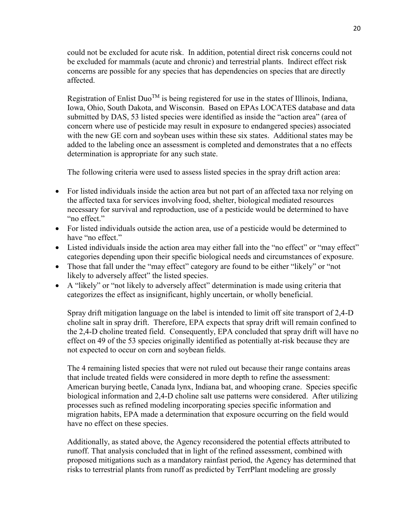could not be excluded for acute risk. In addition, potential direct risk concerns could not be excluded for mammals (acute and chronic) and terrestrial plants. Indirect effect risk concerns are possible for any species that has dependencies on species that are directly affected.

determination is appropriate for any such state. Registration of Enlist Duo<sup>TM</sup> is being registered for use in the states of Illinois, Indiana, Iowa, Ohio, South Dakota, and Wisconsin. Based on EPAs LOCATES database and data submitted by DAS, 53 listed species were identified as inside the "action area" (area of concern where use of pesticide may result in exposure to endangered species) associated with the new GE corn and soybean uses within these six states. Additional states may be added to the labeling once an assessment is completed and demonstrates that a no effects

determination is appropriate for any such state.<br>The following criteria were used to assess listed species in the spray drift action area:

- For listed individuals inside the action area but not part of an affected taxa nor relying on the affected taxa for services involving food, shelter, biological mediated resources necessary for survival and reproduction, use of a pesticide would be determined to have "no effect."
- For listed individuals outside the action area, use of a pesticide would be determined to have "no effect."
- Listed individuals inside the action area may either fall into the "no effect" or "may effect" categories depending upon their specific biological needs and circumstances of exposure.
- Those that fall under the "may effect" category are found to be either "likely" or "not likely to adversely affect" the listed species.
- A "likely" or "not likely to adversely affect" determination is made using criteria that categorizes the effect as insignificant, highly uncertain, or wholly beneficial.

 choline salt in spray drift. Therefore, EPA expects that spray drift will remain confined to Spray drift mitigation language on the label is intended to limit off site transport of 2,4-D the 2,4-D choline treated field. Consequently, EPA concluded that spray drift will have no effect on 49 of the 53 species originally identified as potentially at-risk because they are not expected to occur on corn and soybean fields.

The 4 remaining listed species that were not ruled out because their range contains areas that include treated fields were considered in more depth to refine the assessment: American burying beetle, Canada lynx, Indiana bat, and whooping crane. Species specific biological information and 2,4-D choline salt use patterns were considered. After utilizing processes such as refined modeling incorporating species specific information and migration habits, EPA made a determination that exposure occurring on the field would have no effect on these species.

 risks to terrestrial plants from runoff as predicted by TerrPlant modeling are grossly Additionally, as stated above, the Agency reconsidered the potential effects attributed to runoff. That analysis concluded that in light of the refined assessment, combined with proposed mitigations such as a mandatory rainfast period, the Agency has determined that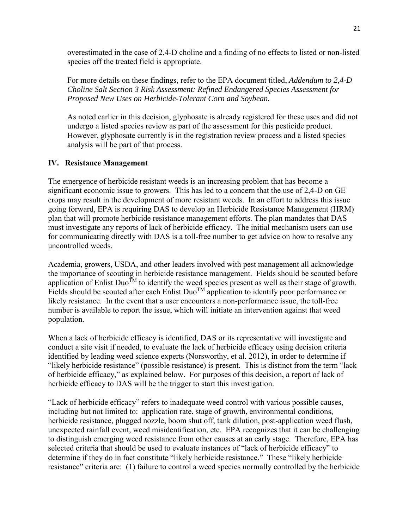overestimated in the case of 2,4-D choline and a finding of no effects to listed or non-listed species off the treated field is appropriate.

For more details on these findings, refer to the EPA document titled, *Addendum to 2,4-D Choline Salt Section 3 Risk Assessment: Refined Endangered Species Assessment for Proposed New Uses on Herbicide-Tolerant Corn and Soybean.* 

As noted earlier in this decision, glyphosate is already registered for these uses and did not undergo a listed species review as part of the assessment for this pesticide product. However, glyphosate currently is in the registration review process and a listed species analysis will be part of that process.

### **IV. Resistance Management**

The emergence of herbicide resistant weeds is an increasing problem that has become a significant economic issue to growers. This has led to a concern that the use of 2,4-D on GE crops may result in the development of more resistant weeds. In an effort to address this issue going forward, EPA is requiring DAS to develop an Herbicide Resistance Management (HRM) plan that will promote herbicide resistance management efforts. The plan mandates that DAS must investigate any reports of lack of herbicide efficacy. The initial mechanism users can use for communicating directly with DAS is a toll-free number to get advice on how to resolve any uncontrolled weeds.

Academia, growers, USDA, and other leaders involved with pest management all acknowledge the importance of scouting in herbicide resistance management. Fields should be scouted before application of Enlist Duo<sup>TM</sup> to identify the weed species present as well as their stage of growth. Fields should be scouted after each Enlist Duo<sup>TM</sup> application to identify poor performance or likely resistance. In the event that a user encounters a non-performance issue, the toll-free number is available to report the issue, which will initiate an intervention against that weed population.

 When a lack of herbicide efficacy is identified, DAS or its representative will investigate and "likely herbicide resistance" (possible resistance) is present. This is distinct from the term "lack of herbicide efficacy," as explained below. For purposes of this decision, a report of lack of conduct a site visit if needed, to evaluate the lack of herbicide efficacy using decision criteria identified by leading weed science experts (Norsworthy, et al. 2012), in order to determine if herbicide efficacy to DAS will be the trigger to start this investigation.

 determine if they do in fact constitute "likely herbicide resistance." These "likely herbicide resistance" criteria are: (1) failure to control a weed species normally controlled by the herbicide "Lack of herbicide efficacy" refers to inadequate weed control with various possible causes, including but not limited to: application rate, stage of growth, environmental conditions, herbicide resistance, plugged nozzle, boom shut off, tank dilution, post-application weed flush, unexpected rainfall event, weed misidentification, etc. EPA recognizes that it can be challenging to distinguish emerging weed resistance from other causes at an early stage. Therefore, EPA has selected criteria that should be used to evaluate instances of "lack of herbicide efficacy" to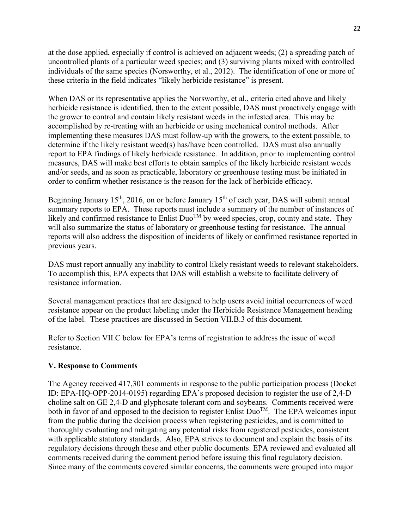at the dose applied, especially if control is achieved on adjacent weeds; (2) a spreading patch of uncontrolled plants of a particular weed species; and (3) surviving plants mixed with controlled individuals of the same species (Norsworthy, et al., 2012). The identification of one or more of these criteria in the field indicates "likely herbicide resistance" is present.

 report to EPA findings of likely herbicide resistance. In addition, prior to implementing control and/or seeds, and as soon as practicable, laboratory or greenhouse testing must be initiated in When DAS or its representative applies the Norsworthy, et al., criteria cited above and likely herbicide resistance is identified, then to the extent possible, DAS must proactively engage with the grower to control and contain likely resistant weeds in the infested area. This may be accomplished by re-treating with an herbicide or using mechanical control methods. After implementing these measures DAS must follow-up with the growers, to the extent possible, to determine if the likely resistant weed(s) has/have been controlled. DAS must also annually measures, DAS will make best efforts to obtain samples of the likely herbicide resistant weeds order to confirm whether resistance is the reason for the lack of herbicide efficacy.

 summary reports to EPA. These reports must include a summary of the number of instances of likely and confirmed resistance to Enlist Duo<sup>TM</sup> by weed species, crop, county and state. They previous years. Beginning January  $15<sup>th</sup>$ , 2016, on or before January  $15<sup>th</sup>$  of each year, DAS will submit annual will also summarize the status of laboratory or greenhouse testing for resistance. The annual reports will also address the disposition of incidents of likely or confirmed resistance reported in

DAS must report annually any inability to control likely resistant weeds to relevant stakeholders. To accomplish this, EPA expects that DAS will establish a website to facilitate delivery of resistance information.

 resistance appear on the product labeling under the Herbicide Resistance Management heading Several management practices that are designed to help users avoid initial occurrences of weed of the label. These practices are discussed in Section VII.B.3 of this document.

Refer to Section VII.C below for EPA's terms of registration to address the issue of weed resistance.

### **V. Response to Comments**

both in favor of and opposed to the decision to register Enlist  $Duo^{TM}$ . The EPA welcomes input comments received during the comment period before issuing this final regulatory decision. The Agency received 417,301 comments in response to the public participation process (Docket ID: EPA-HQ-OPP-2014-0195) regarding EPA's proposed decision to register the use of 2,4-D choline salt on GE 2,4-D and glyphosate tolerant corn and soybeans. Comments received were from the public during the decision process when registering pesticides, and is committed to thoroughly evaluating and mitigating any potential risks from registered pesticides, consistent with applicable statutory standards. Also, EPA strives to document and explain the basis of its regulatory decisions through these and other public documents. EPA reviewed and evaluated all Since many of the comments covered similar concerns, the comments were grouped into major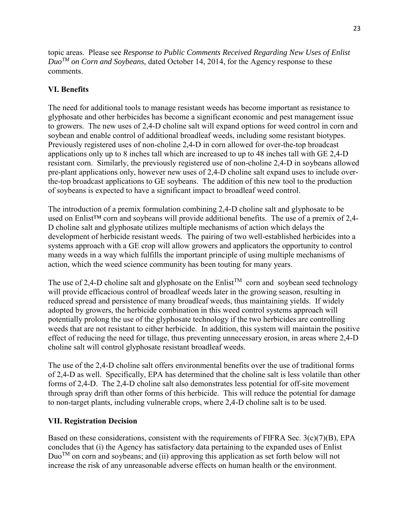topic areas. Please see *Response to Public Comments Received Regarding New Uses of Enlist DuoTM on Corn and Soybeans,* dated October 14, 2014, for the Agency response to these comments.

# **VI. Benefits**

The need for additional tools to manage resistant weeds has become important as resistance to glyphosate and other herbicides has become a significant economic and pest management issue to growers. The new uses of 2,4-D choline salt will expand options for weed control in corn and soybean and enable control of additional broadleaf weeds, including some resistant biotypes. Previously registered uses of non-choline 2,4-D in corn allowed for over-the-top broadcast applications only up to 8 inches tall which are increased to up to 48 inches tall with GE 2,4-D resistant corn. Similarly, the previously registered use of non-choline 2,4-D in soybeans allowed pre-plant applications only, however new uses of 2,4-D choline salt expand uses to include overthe-top broadcast applications to GE soybeans. The addition of this new tool to the production of soybeans is expected to have a significant impact to broadleaf weed control.

 action, which the weed science community has been touting for many years. The introduction of a premix formulation combining 2,4-D choline salt and glyphosate to be used on Enlist<sup>™</sup> corn and soybeans will provide additional benefits. The use of a premix of 2,4-D choline salt and glyphosate utilizes multiple mechanisms of action which delays the development of herbicide resistant weeds. The pairing of two well-established herbicides into a systems approach with a GE crop will allow growers and applicators the opportunity to control many weeds in a way which fulfills the important principle of using multiple mechanisms of

The use of 2,4-D choline salt and glyphosate on the Enlist<sup>TM</sup> corn and soybean seed technology adopted by growers, the herbicide combination in this weed control systems approach will potentially prolong the use of the glyphosate technology if the two herbicides are controlling weeds that are not resistant to either herbicide. In addition, this system will maintain the positive will provide efficacious control of broadleaf weeds later in the growing season, resulting in reduced spread and persistence of many broadleaf weeds, thus maintaining yields. If widely effect of reducing the need for tillage, thus preventing unnecessary erosion, in areas where 2,4-D choline salt will control glyphosate resistant broadleaf weeds.

The use of the 2,4-D choline salt offers environmental benefits over the use of traditional forms of 2,4-D as well. Specifically, EPA has determined that the choline salt is less volatile than other forms of 2,4-D. The 2,4-D choline salt also demonstrates less potential for off-site movement through spray drift than other forms of this herbicide. This will reduce the potential for damage to non-target plants, including vulnerable crops, where 2,4-D choline salt is to be used.

# **VII. Registration Decision**

Based on these considerations, consistent with the requirements of FIFRA Sec.  $3(c)(7)(B)$ , EPA concludes that (i) the Agency has satisfactory data pertaining to the expanded uses of Enlist  $Du^{\text{TM}}$  on corn and soybeans; and (ii) approving this application as set forth below will not increase the risk of any unreasonable adverse effects on human health or the environment.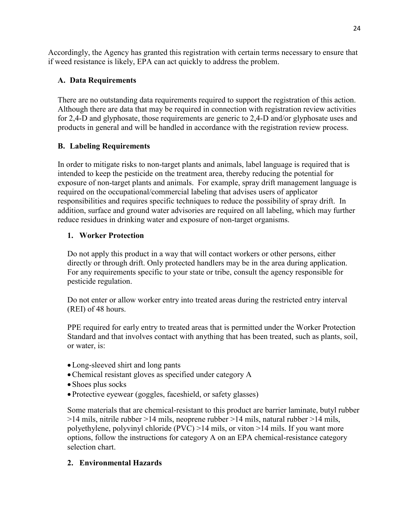Accordingly, the Agency has granted this registration with certain terms necessary to ensure that if weed resistance is likely, EPA can act quickly to address the problem.

# **A. Data Requirements**

 Although there are data that may be required in connection with registration review activities There are no outstanding data requirements required to support the registration of this action. for 2,4-D and glyphosate, those requirements are generic to 2,4-D and/or glyphosate uses and products in general and will be handled in accordance with the registration review process.

# **B. Labeling Requirements**

 exposure of non-target plants and animals. For example, spray drift management language is addition, surface and ground water advisories are required on all labeling, which may further In order to mitigate risks to non-target plants and animals, label language is required that is intended to keep the pesticide on the treatment area, thereby reducing the potential for required on the occupational/commercial labeling that advises users of applicator responsibilities and requires specific techniques to reduce the possibility of spray drift. In reduce residues in drinking water and exposure of non-target organisms.

# **1. Worker Protection**

Do not apply this product in a way that will contact workers or other persons, either directly or through drift. Only protected handlers may be in the area during application. For any requirements specific to your state or tribe, consult the agency responsible for pesticide regulation.

Do not enter or allow worker entry into treated areas during the restricted entry interval (REI) of 48 hours.

 or water, is: PPE required for early entry to treated areas that is permitted under the Worker Protection Standard and that involves contact with anything that has been treated, such as plants, soil,

- Long-sleeved shirt and long pants
- Chemical resistant gloves as specified under category A
- Shoes plus socks
- Protective eyewear (goggles, faceshield, or safety glasses)

Some materials that are chemical-resistant to this product are barrier laminate, butyl rubber >14 mils, nitrile rubber >14 mils, neoprene rubber >14 mils, natural rubber >14 mils, polyethylene, polyvinyl chloride (PVC) >14 mils, or viton >14 mils. If you want more options, follow the instructions for category A on an EPA chemical-resistance category selection chart.

# **2. Environmental Hazards**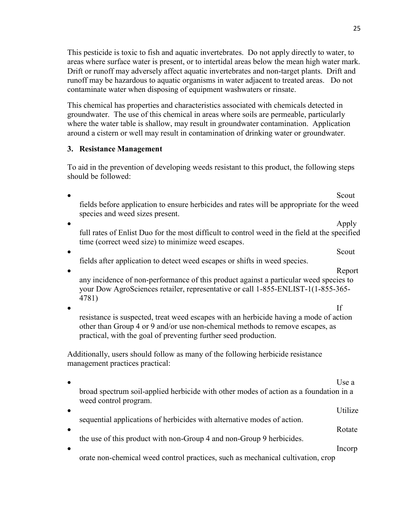25

This pesticide is toxic to fish and aquatic invertebrates. Do not apply directly to water, to areas where surface water is present, or to intertidal areas below the mean high water mark. Drift or runoff may adversely affect aquatic invertebrates and non-target plants. Drift and runoff may be hazardous to aquatic organisms in water adjacent to treated areas. Do not contaminate water when disposing of equipment washwaters or rinsate.

This chemical has properties and characteristics associated with chemicals detected in groundwater. The use of this chemical in areas where soils are permeable, particularly where the water table is shallow, may result in groundwater contamination. Application around a cistern or well may result in contamination of drinking water or groundwater.

# **3. Resistance Management**

To aid in the prevention of developing weeds resistant to this product, the following steps should be followed:

**Scout** Secrets and Secrets and Secrets and Secrets and Secrets and Secrets and Secrets and Secrets and Secrets and Secrets and Secrets and Secrets and Secrets and Secrets and Secrets and Secrets and Secrets and Secrets an fields before application to ensure herbicides and rates will be appropriate for the weed species and weed sizes present. • Apply full rates of Enlist Duo for the most difficult to control weed in the field at the specified time (correct weed size) to minimize weed escapes.  $\bullet$  Scout fields after application to detect weed escapes or shifts in weed species. **Constitution of the Constitution of the Constitution of the Constitution of the Constitution of the Constitution of the Constitution of the Constitution of the Constitution of the Constitution of the Constitution of the C** any incidence of non-performance of this product against a particular weed species to your Dow AgroSciences retailer, representative or call 1-855-ENLIST-1(1-855-365- 4781)  $\bullet$  If resistance is suspected, treat weed escapes with an herbicide having a mode of action other than Group 4 or 9 and/or use non-chemical methods to remove escapes, as practical, with the goal of preventing further seed production. Additionally, users should follow as many of the following herbicide resistance management practices practical:  $\bullet$  Use a broad spectrum soil-applied herbicide with other modes of action as a foundation in a weed control program. • Utilize sequential applications of herbicides with alternative modes of action. • Rotate the use of this product with non-Group 4 and non-Group 9 herbicides. **Incorp** orate non-chemical weed control practices, such as mechanical cultivation, crop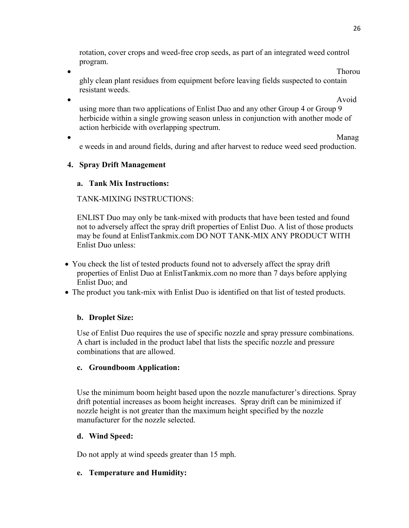rotation, cover crops and weed-free crop seeds, as part of an integrated weed control program.

**•** Thoroughly the state of the state of the state of the state of the state of the state of the state of the state of the state of the state of the state of the state of the state of the state of the state of the state of ghly clean plant residues from equipment before leaving fields suspected to contain resistant weeds.

**Avoid** Avoid using more than two applications of Enlist Duo and any other Group 4 or Group 9 herbicide within a single growing season unless in conjunction with another mode of action herbicide with overlapping spectrum.

**•** Manager Manager Manager Manager Manager Manager Manager Manager Manager Manager Manager Manager Manager Manager Manager Manager Manager Manager Manager Manager Manager Manager Manager Manager Manager Manager Manager Ma e weeds in and around fields, during and after harvest to reduce weed seed production.

# **4. Spray Drift Management**

# **a. Tank Mix Instructions:**

# TANK-MIXING INSTRUCTIONS:

ENLIST Duo may only be tank-mixed with products that have been tested and found not to adversely affect the spray drift properties of Enlist Duo. A list of those products may be found at EnlistTankmix.com DO NOT TANK-MIX ANY PRODUCT WITH Enlist Duo unless:

- properties of Enlist Duo at EnlistTankmix.com no more than 7 days before applying You check the list of tested products found not to adversely affect the spray drift Enlist Duo; and
- The product you tank-mix with Enlist Duo is identified on that list of tested products.

### **b. Droplet Size:**

Use of Enlist Duo requires the use of specific nozzle and spray pressure combinations. A chart is included in the product label that lists the specific nozzle and pressure combinations that are allowed.

### **c. Groundboom Application:**

Use the minimum boom height based upon the nozzle manufacturer's directions. Spray drift potential increases as boom height increases. Spray drift can be minimized if nozzle height is not greater than the maximum height specified by the nozzle manufacturer for the nozzle selected.

### **d. Wind Speed:**

Do not apply at wind speeds greater than 15 mph.

# **e. Temperature and Humidity:**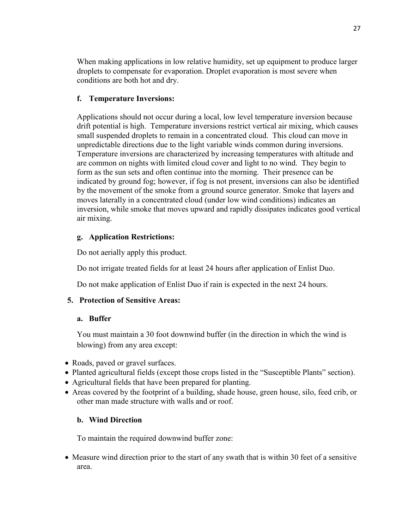When making applications in low relative humidity, set up equipment to produce larger droplets to compensate for evaporation. Droplet evaporation is most severe when conditions are both hot and dry.

# **f. Temperature Inversions:**

 form as the sun sets and often continue into the morning. Their presence can be Applications should not occur during a local, low level temperature inversion because drift potential is high. Temperature inversions restrict vertical air mixing, which causes small suspended droplets to remain in a concentrated cloud. This cloud can move in unpredictable directions due to the light variable winds common during inversions. Temperature inversions are characterized by increasing temperatures with altitude and are common on nights with limited cloud cover and light to no wind. They begin to indicated by ground fog; however, if fog is not present, inversions can also be identified by the movement of the smoke from a ground source generator. Smoke that layers and moves laterally in a concentrated cloud (under low wind conditions) indicates an inversion, while smoke that moves upward and rapidly dissipates indicates good vertical air mixing.

### **g. Application Restrictions:**

Do not aerially apply this product.

Do not irrigate treated fields for at least 24 hours after application of Enlist Duo.

Do not make application of Enlist Duo if rain is expected in the next 24 hours.

### **5. Protection of Sensitive Areas:**

### **a. Buffer**

 blowing) from any area except: You must maintain a 30 foot downwind buffer (in the direction in which the wind is

- Roads, paved or gravel surfaces.
- Planted agricultural fields (except those crops listed in the "Susceptible Plants" section).
- Agricultural fields that have been prepared for planting.
- Areas covered by the footprint of a building, shade house, green house, silo, feed crib, or other man made structure with walls and or roof.

### **b. Wind Direction**

To maintain the required downwind buffer zone:

• Measure wind direction prior to the start of any swath that is within 30 feet of a sensitive area.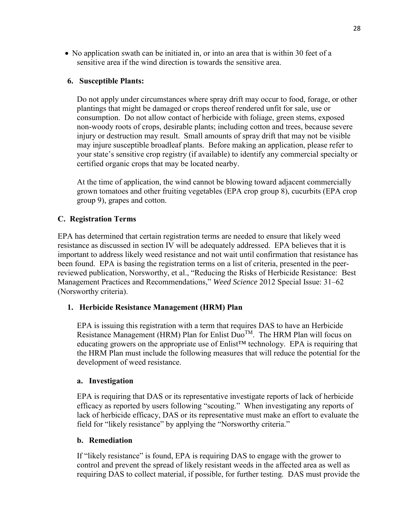No application swath can be initiated in, or into an area that is within 30 feet of a sensitive area if the wind direction is towards the sensitive area.

### **6. Susceptible Plants:**

Do not apply under circumstances where spray drift may occur to food, forage, or other plantings that might be damaged or crops thereof rendered unfit for sale, use or consumption. Do not allow contact of herbicide with foliage, green stems, exposed non-woody roots of crops, desirable plants; including cotton and trees, because severe injury or destruction may result. Small amounts of spray drift that may not be visible may injure susceptible broadleaf plants. Before making an application, please refer to your state's sensitive crop registry (if available) to identify any commercial specialty or certified organic crops that may be located nearby.

At the time of application, the wind cannot be blowing toward adjacent commercially grown tomatoes and other fruiting vegetables (EPA crop group 8), cucurbits (EPA crop group 9), grapes and cotton.

### **C. Registration Terms**

 reviewed publication, Norsworthy, et al., "Reducing the Risks of Herbicide Resistance: Best EPA has determined that certain registration terms are needed to ensure that likely weed resistance as discussed in section IV will be adequately addressed. EPA believes that it is important to address likely weed resistance and not wait until confirmation that resistance has been found. EPA is basing the registration terms on a list of criteria, presented in the peer-Management Practices and Recommendations," *Weed Science* 2012 Special Issue: 31–62 (Norsworthy criteria).

### **1. Herbicide Resistance Management (HRM) Plan**

educating growers on the appropriate use of Enlist<sup>™</sup> technology. EPA is requiring that EPA is issuing this registration with a term that requires DAS to have an Herbicide Resistance Management (HRM) Plan for Enlist  $Duo^{TM}$ . The HRM Plan will focus on the HRM Plan must include the following measures that will reduce the potential for the development of weed resistance.

### **a. Investigation**

 efficacy as reported by users following "scouting." When investigating any reports of field for "likely resistance" by applying the "Norsworthy criteria." EPA is requiring that DAS or its representative investigate reports of lack of herbicide lack of herbicide efficacy, DAS or its representative must make an effort to evaluate the

### **b. Remediation**

 requiring DAS to collect material, if possible, for further testing. DAS must provide the If "likely resistance" is found, EPA is requiring DAS to engage with the grower to control and prevent the spread of likely resistant weeds in the affected area as well as